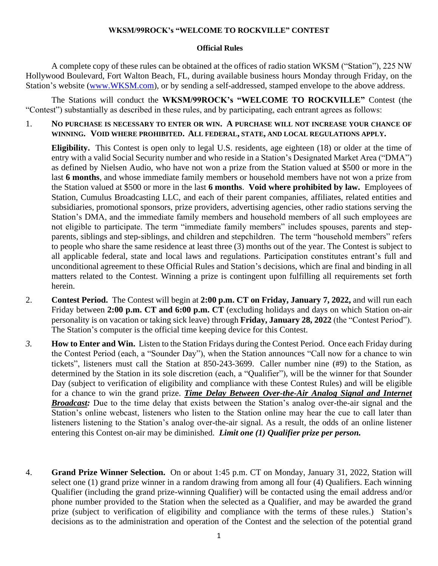## **WKSM/99ROCK's "WELCOME TO ROCKVILLE" CONTEST**

## **Official Rules**

A complete copy of these rules can be obtained at the offices of radio station WKSM ("Station"), 225 NW Hollywood Boulevard, Fort Walton Beach, FL, during available business hours Monday through Friday, on the Station's website [\(www.WKSM.com\)](http://www.wksm.com/), or by sending a self-addressed, stamped envelope to the above address.

The Stations will conduct the **WKSM/99ROCK's "WELCOME TO ROCKVILLE"** Contest (the "Contest") substantially as described in these rules, and by participating, each entrant agrees as follows:

1. **NO PURCHASE IS NECESSARY TO ENTER OR WIN. A PURCHASE WILL NOT INCREASE YOUR CHANCE OF WINNING. VOID WHERE PROHIBITED. ALL FEDERAL, STATE, AND LOCAL REGULATIONS APPLY.**

**Eligibility.** This Contest is open only to legal U.S. residents, age eighteen (18) or older at the time of entry with a valid Social Security number and who reside in a Station's Designated Market Area ("DMA") as defined by Nielsen Audio, who have not won a prize from the Station valued at \$500 or more in the last **6 months**, and whose immediate family members or household members have not won a prize from the Station valued at \$500 or more in the last **6 months**. **Void where prohibited by law.** Employees of Station, Cumulus Broadcasting LLC, and each of their parent companies, affiliates, related entities and subsidiaries, promotional sponsors, prize providers, advertising agencies, other radio stations serving the Station's DMA, and the immediate family members and household members of all such employees are not eligible to participate. The term "immediate family members" includes spouses, parents and stepparents, siblings and step-siblings, and children and stepchildren. The term "household members" refers to people who share the same residence at least three (3) months out of the year. The Contest is subject to all applicable federal, state and local laws and regulations. Participation constitutes entrant's full and unconditional agreement to these Official Rules and Station's decisions, which are final and binding in all matters related to the Contest. Winning a prize is contingent upon fulfilling all requirements set forth herein.

- 2. **Contest Period.** The Contest will begin at **2:00 p.m. CT on Friday, January 7, 2022,** and will run each Friday between **2:00 p.m. CT and 6:00 p.m. CT** (excluding holidays and days on which Station on-air personality is on vacation or taking sick leave) through **Friday, January 28, 2022** (the "Contest Period"). The Station's computer is the official time keeping device for this Contest.
- *3.* **How to Enter and Win.** Listen to the Station Fridays during the Contest Period. Once each Friday during the Contest Period (each, a "Sounder Day"), when the Station announces "Call now for a chance to win tickets", listeners must call the Station at 850-243-3699. Caller number nine (#9) to the Station, as determined by the Station in its sole discretion (each, a "Qualifier"), will be the winner for that Sounder Day (subject to verification of eligibility and compliance with these Contest Rules) and will be eligible for a chance to win the grand prize. *Time Delay Between Over-the-Air Analog Signal and Internet Broadcast:* Due to the time delay that exists between the Station's analog over-the-air signal and the Station's online webcast, listeners who listen to the Station online may hear the cue to call later than listeners listening to the Station's analog over-the-air signal. As a result, the odds of an online listener entering this Contest on-air may be diminished. *Limit one (1) Qualifier prize per person.*
- 4. **Grand Prize Winner Selection.** On or about 1:45 p.m. CT on Monday, January 31, 2022, Station will select one (1) grand prize winner in a random drawing from among all four (4) Qualifiers. Each winning Qualifier (including the grand prize-winning Qualifier) will be contacted using the email address and/or phone number provided to the Station when the selected as a Qualifier, and may be awarded the grand prize (subject to verification of eligibility and compliance with the terms of these rules.) Station's decisions as to the administration and operation of the Contest and the selection of the potential grand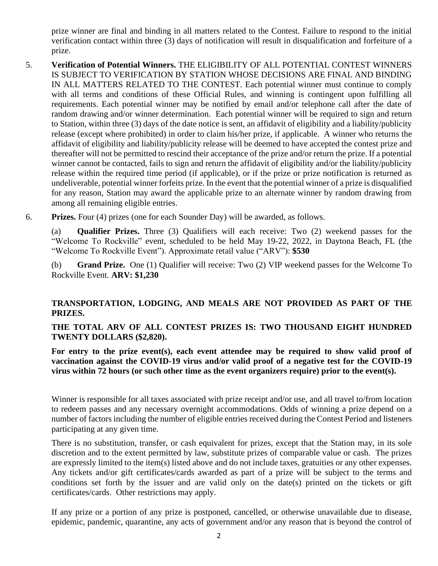prize winner are final and binding in all matters related to the Contest. Failure to respond to the initial verification contact within three (3) days of notification will result in disqualification and forfeiture of a prize.

- 5. **Verification of Potential Winners.** THE ELIGIBILITY OF ALL POTENTIAL CONTEST WINNERS IS SUBJECT TO VERIFICATION BY STATION WHOSE DECISIONS ARE FINAL AND BINDING IN ALL MATTERS RELATED TO THE CONTEST. Each potential winner must continue to comply with all terms and conditions of these Official Rules, and winning is contingent upon fulfilling all requirements. Each potential winner may be notified by email and/or telephone call after the date of random drawing and/or winner determination. Each potential winner will be required to sign and return to Station, within three (3) days of the date notice is sent, an affidavit of eligibility and a liability/publicity release (except where prohibited) in order to claim his/her prize, if applicable. A winner who returns the affidavit of eligibility and liability/publicity release will be deemed to have accepted the contest prize and thereafter will not be permitted to rescind their acceptance of the prize and/or return the prize. If a potential winner cannot be contacted, fails to sign and return the affidavit of eligibility and/or the liability/publicity release within the required time period (if applicable), or if the prize or prize notification is returned as undeliverable, potential winner forfeits prize. In the event that the potential winner of a prize is disqualified for any reason, Station may award the applicable prize to an alternate winner by random drawing from among all remaining eligible entries.
- 6. **Prizes.** Four (4) prizes (one for each Sounder Day) will be awarded, as follows.

(a) **Qualifier Prizes.** Three (3) Qualifiers will each receive: Two (2) weekend passes for the "Welcome To Rockville" event, scheduled to be held May 19-22, 2022, in Daytona Beach, FL (the "Welcome To Rockville Event"). Approximate retail value ("ARV"): **\$530**

(b) **Grand Prize.** One (1) Qualifier will receive: Two (2) VIP weekend passes for the Welcome To Rockville Event. **ARV: \$1,230**

## **TRANSPORTATION, LODGING, AND MEALS ARE NOT PROVIDED AS PART OF THE PRIZES.**

## **THE TOTAL ARV OF ALL CONTEST PRIZES IS: TWO THOUSAND EIGHT HUNDRED TWENTY DOLLARS (\$2,820).**

**For entry to the prize event(s), each event attendee may be required to show valid proof of vaccination against the COVID-19 virus and/or valid proof of a negative test for the COVID-19 virus within 72 hours (or such other time as the event organizers require) prior to the event(s).**

Winner is responsible for all taxes associated with prize receipt and/or use, and all travel to/from location to redeem passes and any necessary overnight accommodations. Odds of winning a prize depend on a number of factors including the number of eligible entries received during the Contest Period and listeners participating at any given time.

There is no substitution, transfer, or cash equivalent for prizes, except that the Station may, in its sole discretion and to the extent permitted by law, substitute prizes of comparable value or cash. The prizes are expressly limited to the item(s) listed above and do not include taxes, gratuities or any other expenses. Any tickets and/or gift certificates/cards awarded as part of a prize will be subject to the terms and conditions set forth by the issuer and are valid only on the date(s) printed on the tickets or gift certificates/cards. Other restrictions may apply.

If any prize or a portion of any prize is postponed, cancelled, or otherwise unavailable due to disease, epidemic, pandemic, quarantine, any acts of government and/or any reason that is beyond the control of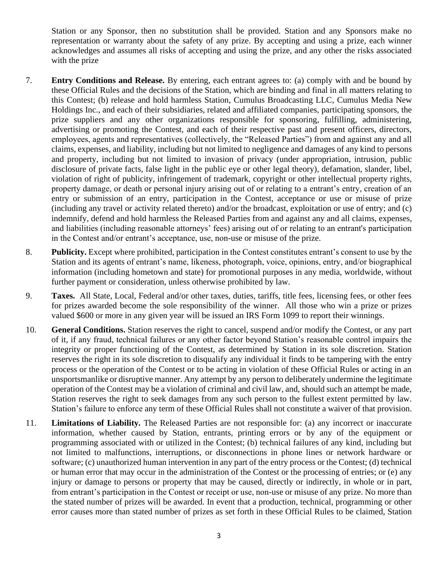Station or any Sponsor, then no substitution shall be provided. Station and any Sponsors make no representation or warranty about the safety of any prize. By accepting and using a prize, each winner acknowledges and assumes all risks of accepting and using the prize, and any other the risks associated with the prize

- 7. **Entry Conditions and Release.** By entering, each entrant agrees to: (a) comply with and be bound by these Official Rules and the decisions of the Station, which are binding and final in all matters relating to this Contest; (b) release and hold harmless Station, Cumulus Broadcasting LLC, Cumulus Media New Holdings Inc., and each of their subsidiaries, related and affiliated companies, participating sponsors, the prize suppliers and any other organizations responsible for sponsoring, fulfilling, administering, advertising or promoting the Contest, and each of their respective past and present officers, directors, employees, agents and representatives (collectively, the "Released Parties") from and against any and all claims, expenses, and liability, including but not limited to negligence and damages of any kind to persons and property, including but not limited to invasion of privacy (under appropriation, intrusion, public disclosure of private facts, false light in the public eye or other legal theory), defamation, slander, libel, violation of right of publicity, infringement of trademark, copyright or other intellectual property rights, property damage, or death or personal injury arising out of or relating to a entrant's entry, creation of an entry or submission of an entry, participation in the Contest, acceptance or use or misuse of prize (including any travel or activity related thereto) and/or the broadcast, exploitation or use of entry; and (c) indemnify, defend and hold harmless the Released Parties from and against any and all claims, expenses, and liabilities (including reasonable attorneys' fees) arising out of or relating to an entrant's participation in the Contest and/or entrant's acceptance, use, non-use or misuse of the prize.
- 8. **Publicity.** Except where prohibited, participation in the Contest constitutes entrant's consent to use by the Station and its agents of entrant's name, likeness, photograph, voice, opinions, entry, and/or biographical information (including hometown and state) for promotional purposes in any media, worldwide, without further payment or consideration, unless otherwise prohibited by law.
- 9. **Taxes.** All State, Local, Federal and/or other taxes, duties, tariffs, title fees, licensing fees, or other fees for prizes awarded become the sole responsibility of the winner. All those who win a prize or prizes valued \$600 or more in any given year will be issued an IRS Form 1099 to report their winnings.
- 10. **General Conditions.** Station reserves the right to cancel, suspend and/or modify the Contest, or any part of it, if any fraud, technical failures or any other factor beyond Station's reasonable control impairs the integrity or proper functioning of the Contest, as determined by Station in its sole discretion. Station reserves the right in its sole discretion to disqualify any individual it finds to be tampering with the entry process or the operation of the Contest or to be acting in violation of these Official Rules or acting in an unsportsmanlike or disruptive manner. Any attempt by any person to deliberately undermine the legitimate operation of the Contest may be a violation of criminal and civil law, and, should such an attempt be made, Station reserves the right to seek damages from any such person to the fullest extent permitted by law. Station's failure to enforce any term of these Official Rules shall not constitute a waiver of that provision.
- 11. **Limitations of Liability.** The Released Parties are not responsible for: (a) any incorrect or inaccurate information, whether caused by Station, entrants, printing errors or by any of the equipment or programming associated with or utilized in the Contest; (b) technical failures of any kind, including but not limited to malfunctions, interruptions, or disconnections in phone lines or network hardware or software; (c) unauthorized human intervention in any part of the entry process or the Contest; (d) technical or human error that may occur in the administration of the Contest or the processing of entries; or (e) any injury or damage to persons or property that may be caused, directly or indirectly, in whole or in part, from entrant's participation in the Contest or receipt or use, non-use or misuse of any prize. No more than the stated number of prizes will be awarded. In event that a production, technical, programming or other error causes more than stated number of prizes as set forth in these Official Rules to be claimed, Station